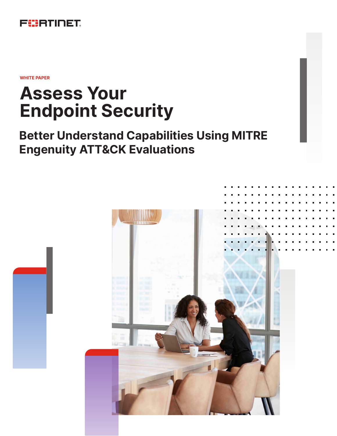

**WHITE PAPER**

# **Assess Your Endpoint Security**

# **Better Understand Capabilities Using MITRE Engenuity ATT&CK Evaluations**

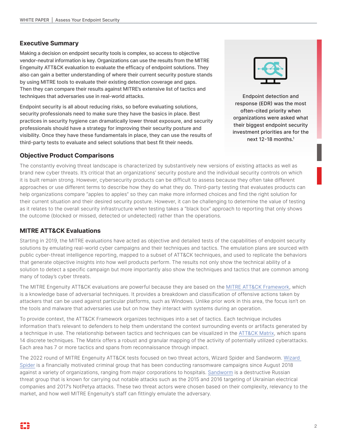#### **Executive Summary**

Making a decision on endpoint security tools is complex, so access to objective vendor-neutral information is key. Organizations can use the results from the MITRE Engenuity ATT&CK evaluation to evaluate the efficacy of endpoint solutions. They also can gain a better understanding of where their current security posture stands by using MITRE tools to evaluate their existing detection coverage and gaps. Then they can compare their results against MITRE's extensive list of tactics and techniques that adversaries use in real-world attacks.

Endpoint security is all about reducing risks, so before evaluating solutions, security professionals need to make sure they have the basics in place. Best practices in security hygiene can dramatically lower threat exposure, and security professionals should have a strategy for improving their security posture and visibility. Once they have these fundamentals in place, they can use the results of third-party tests to evaluate and select solutions that best fit their needs.



Endpoint detection and response (EDR) was the most often-cited priority when organizations were asked what their biggest endpoint security investment priorities are for the next 12-18 months.<sup>1</sup>

### **Objective Product Comparisons**

The constantly evolving threat landscape is characterized by substantively new versions of existing attacks as well as brand new cyber threats. It's critical that an organizations' security posture and the individual security controls on which it is built remain strong. However, cybersecurity products can be difficult to assess because they often take different approaches or use different terms to describe how they do what they do. Third-party testing that evaluates products can help organizations compare "apples to apples" so they can make more informed choices and find the right solution for their current situation and their desired security posture. However, it can be challenging to determine the value of testing as it relates to the overall security infrastructure when testing takes a "black box" approach to reporting that only shows the outcome (blocked or missed, detected or undetected) rather than the operations.

#### **MITRE ATT&CK Evaluations**

Starting in 2019, the MITRE evaluations have acted as objective and detailed tests of the capabilities of endpoint security solutions by emulating real-world cyber campaigns and their techniques and tactics. The emulation plans are sourced with public cyber-threat intelligence reporting, mapped to a subset of ATT&CK techniques, and used to replicate the behaviors that generate objective insights into how well products perform. The results not only show the technical ability of a solution to detect a specific campaign but more importantly also show the techniques and tactics that are common among many of today's cyber threats.

The MITRE Engenuity ATT&CK evaluations are powerful because they are based on the [MITRE ATT&CK Framework,](https://attack.mitre.org/) which is a knowledge base of adversarial techniques. It provides a breakdown and classification of offensive actions taken by attackers that can be used against particular platforms, such as Windows. Unlike prior work in this area, the focus isn't on the tools and malware that adversaries use but on how they interact with systems during an operation.

To provide context, the ATT&CK Framework organizes techniques into a set of tactics. Each technique includes information that's relevant to defenders to help them understand the context surrounding events or artifacts generated by a technique in use. The relationship between tactics and techniques can be visualized in the [ATT&CK Matrix](https://attack.mitre.org/matrices/enterprise/), which spans 14 discrete techniques. The Matrix offers a robust and granular mapping of the activity of potentially utilized cyberattacks. Each area has 7 or more tactics and spans from reconnaissance through impact.

The 2022 round of MITRE Engenuity ATT&CK tests focused on two threat actors, Wizard Spider and Sandworm. [Wizard](https://attack.mitre.org/groups/G0102)  [Spider](https://attack.mitre.org/groups/G0102) is a financially motivated criminal group that has been conducting ransomware campaigns since August 2018 against a variety of organizations, ranging from major corporations to hospitals. [Sandworm](https://attack.mitre.org/groups/G0034/) is a destructive Russian threat group that is known for carrying out notable attacks such as the 2015 and 2016 targeting of Ukrainian electrical companies and 2017's NotPetya attacks. These two threat actors were chosen based on their complexity, relevancy to the market, and how well MITRE Engenuity's staff can fittingly emulate the adversary.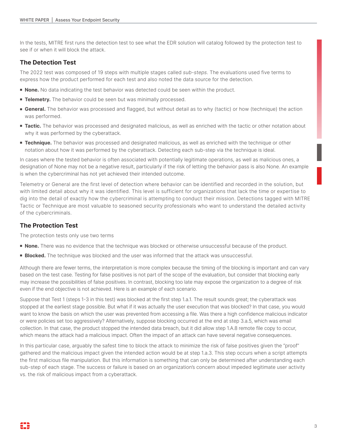In the tests, MITRE first runs the detection test to see what the EDR solution will catalog followed by the protection test to see if or when it will block the attack.

## **The Detection Test**

The 2022 test was composed of 19 steps with multiple stages called *sub-steps*. The evaluations used five terms to express how the product performed for each test and also noted the data source for the detection.

- **None.** No data indicating the test behavior was detected could be seen within the product.
- **Telemetry.** The behavior could be seen but was minimally processed.
- **General.** The behavior was processed and flagged, but without detail as to why (tactic) or how (technique) the action was performed.
- **Tactic.** The behavior was processed and designated malicious, as well as enriched with the tactic or other notation about why it was performed by the cyberattack.
- **Technique.** The behavior was processed and designated malicious, as well as enriched with the technique or other notation about how it was performed by the cyberattack. Detecting each sub-step via the technique is ideal.

In cases where the tested behavior is often associated with potentially legitimate operations, as well as malicious ones, a designation of None may not be a negative result, particularly if the risk of letting the behavior pass is also None. An example is when the cybercriminal has not yet achieved their intended outcome.

Telemetry or General are the first level of detection where behavior can be identified and recorded in the solution, but with limited detail about why it was identified. This level is sufficient for organizations that lack the time or expertise to dig into the detail of exactly how the cybercriminal is attempting to conduct their mission. Detections tagged with MITRE Tactic or Technique are most valuable to seasoned security professionals who want to understand the detailed activity of the cybercriminals.

#### **The Protection Test**

The protection tests only use two terms

- **None.** There was no evidence that the technique was blocked or otherwise unsuccessful because of the product.
- **Blocked.** The technique was blocked and the user was informed that the attack was unsuccessful.

Although there are fewer terms, the interpretation is more complex because the timing of the blocking is important and can vary based on the test case. Testing for false positives is not part of the scope of the evaluation, but consider that blocking early may increase the possibilities of false positives. In contrast, blocking too late may expose the organization to a degree of risk even if the end objective is not achieved. Here is an example of each scenario.

Suppose that Test 1 (steps 1-3 in this test) was blocked at the first step 1.a.1. The result sounds great; the cyberattack was stopped at the earliest stage possible. But what if it was actually the user execution that was blocked? In that case, you would want to know the basis on which the user was prevented from accessing a file. Was there a high confidence malicious indicator or were policies set too aggressively? Alternatively, suppose blocking occurred at the end at step 3.a.5, which was email collection. In that case, the product stopped the intended data breach, but it did allow step 1.A.8 remote file copy to occur, which means the attack had a malicious impact. Often the impact of an attack can have several negative consequences.

In this particular case, arguably the safest time to block the attack to minimize the risk of false positives given the "proof" gathered and the malicious impact given the intended action would be at step 1.a.3. This step occurs when a script attempts the first malicious file manipulation. But this information is something that can only be determined after understanding each sub-step of each stage. The success or failure is based on an organization's concern about impeded legitimate user activity vs. the risk of malicious impact from a cyberattack.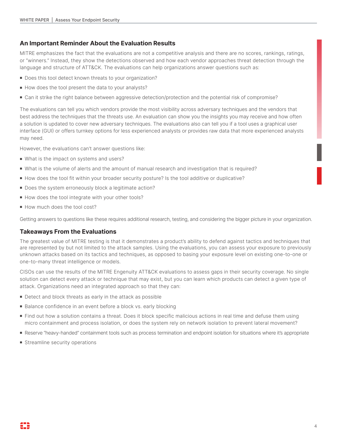#### **An Important Reminder About the Evaluation Results**

MITRE emphasizes the fact that the evaluations are not a competitive analysis and there are no scores, rankings, ratings, or "winners." Instead, they show the detections observed and how each vendor approaches threat detection through the language and structure of ATT&CK. The evaluations can help organizations answer questions such as:

- Does this tool detect known threats to your organization?
- How does the tool present the data to your analysts?
- Can it strike the right balance between aggressive detection/protection and the potential risk of compromise?

The evaluations can tell you which vendors provide the most visibility across adversary techniques and the vendors that best address the techniques that the threats use. An evaluation can show you the insights you may receive and how often a solution is updated to cover new adversary techniques. The evaluations also can tell you if a tool uses a graphical user interface (GUI) or offers turnkey options for less experienced analysts or provides raw data that more experienced analysts may need.

However, the evaluations can't answer questions like:

- What is the impact on systems and users?
- What is the volume of alerts and the amount of manual research and investigation that is required?
- How does the tool fit within your broader security posture? Is the tool additive or duplicative?
- Does the system erroneously block a legitimate action?
- How does the tool integrate with your other tools?
- How much does the tool cost?

Getting answers to questions like these requires additional research, testing, and considering the bigger picture in your organization.

# **Takeaways From the Evaluations**

The greatest value of MITRE testing is that it demonstrates a product's ability to defend against tactics and techniques that are represented by but not limited to the attack samples. Using the evaluations, you can assess your exposure to previously unknown attacks based on its tactics and techniques, as opposed to basing your exposure level on existing one-to-one or one-to-many threat intelligence or models.

CISOs can use the results of the MITRE Engenuity ATT&CK evaluations to assess gaps in their security coverage. No single solution can detect every attack or technique that may exist, but you can learn which products can detect a given type of attack. Organizations need an integrated approach so that they can:

- **•** Detect and block threats as early in the attack as possible
- Balance confidence in an event before a block vs. early blocking
- <sup>n</sup> Find out how a solution contains a threat. Does it block specific malicious actions in real time and defuse them using micro containment and process isolation, or does the system rely on network isolation to prevent lateral movement?
- <sup>n</sup> Reserve "heavy-handed" containment tools such as process termination and endpoint isolation for situations where it's appropriate
- **s** Streamline security operations